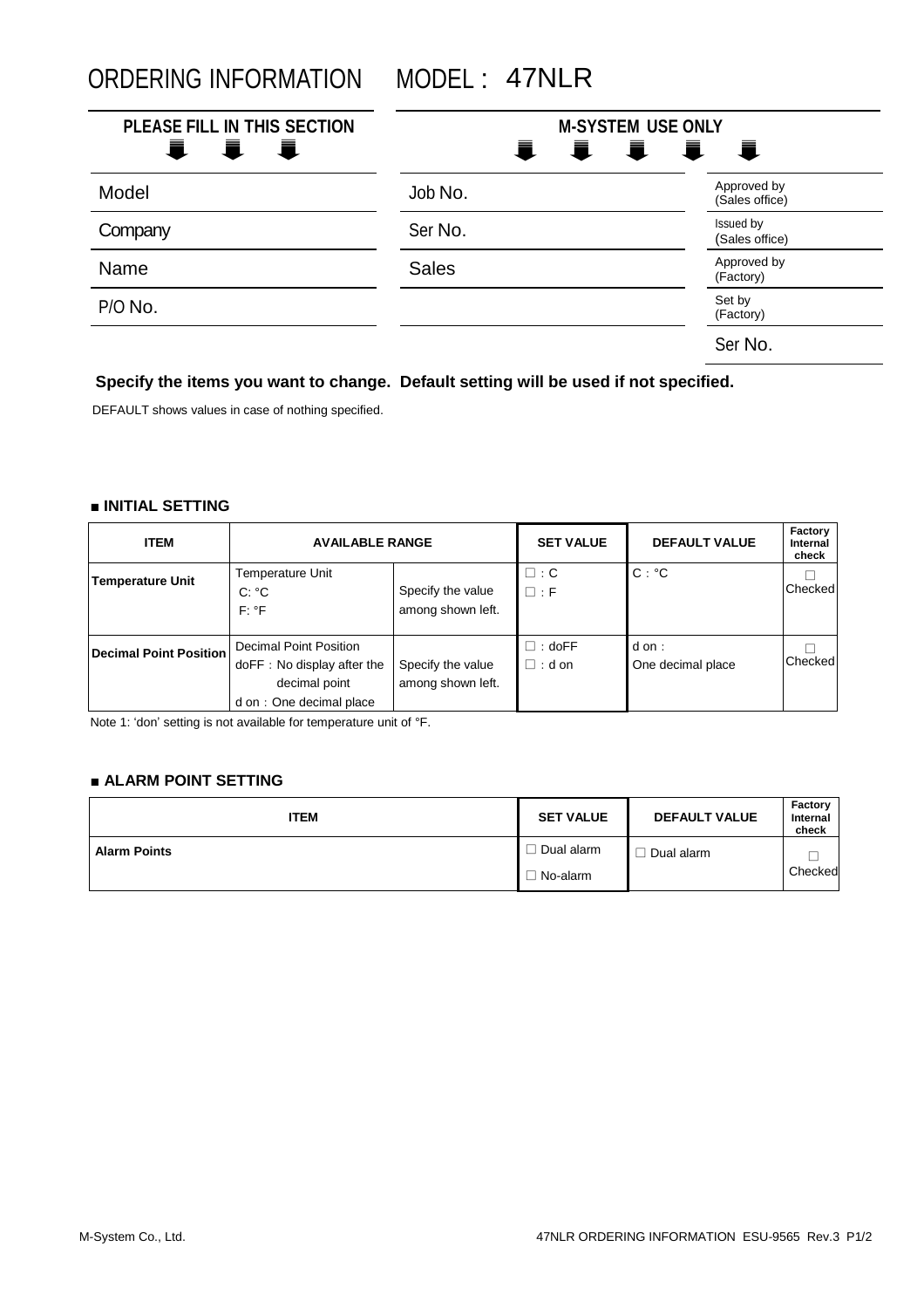ORDERING INFORMATION MODEL : 47NLR

| PLEASE FILL IN THIS SECTION<br>i i<br>Ē., | <b>M-SYSTEM USE ONLY</b> | I I I I                       |
|-------------------------------------------|--------------------------|-------------------------------|
| Model                                     | Job No.                  | Approved by<br>(Sales office) |
| Company                                   | Ser No.                  | Issued by<br>(Sales office)   |
| Name                                      | <b>Sales</b>             | Approved by<br>(Factory)      |
| P/O No.                                   |                          | Set by<br>(Factory)           |
|                                           |                          | Ser No.                       |

## **Specify the items you want to change. Default setting will be used if not specified.**

DEFAULT shows values in case of nothing specified.

### **■ INITIAL SETTING**

| <b>ITEM</b>             | <b>AVAILABLE RANGE</b>                                                                            |                                        | <b>SET VALUE</b>               | <b>DEFAULT VALUE</b>      | Factory<br>Internal<br>check |
|-------------------------|---------------------------------------------------------------------------------------------------|----------------------------------------|--------------------------------|---------------------------|------------------------------|
| <b>Temperature Unit</b> | Temperature Unit<br>$C: {}^{\circ}C$<br>$F: {}^{\circ}F$                                          | Specify the value<br>among shown left. | $\square$ : C<br>$\Box$ : F    | $C: {}^{\circ}C$          | Checked                      |
| Decimal Point Position  | Decimal Point Position<br>doFF: No display after the<br>decimal point<br>d on : One decimal place | Specify the value<br>among shown left. | $\Box$ : doFF<br>$\Box$ : d on | dom:<br>One decimal place | Checked                      |

Note 1: 'don' setting is not available for temperature unit of °F.

## **■ ALARM POINT SETTING**

| <b>ITEM</b>         | <b>SET VALUE</b> | <b>DEFAULT VALUE</b> | Factory<br>Internal<br>check |
|---------------------|------------------|----------------------|------------------------------|
| <b>Alarm Points</b> | Dual alarm       | Dual alarm           |                              |
|                     | No-alarm         |                      | Checked                      |